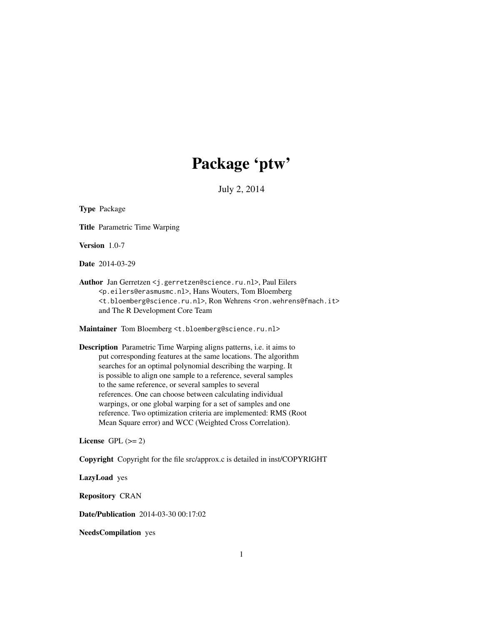# Package 'ptw'

July 2, 2014

Type Package

Title Parametric Time Warping

Version 1.0-7

Date 2014-03-29

Author Jan Gerretzen <j.gerretzen@science.ru.nl>, Paul Eilers <p.eilers@erasmusmc.nl>, Hans Wouters, Tom Bloemberg <t.bloemberg@science.ru.nl>, Ron Wehrens <ron.wehrens@fmach.it> and The R Development Core Team

Maintainer Tom Bloemberg <t.bloemberg@science.ru.nl>

Description Parametric Time Warping aligns patterns, i.e. it aims to put corresponding features at the same locations. The algorithm searches for an optimal polynomial describing the warping. It is possible to align one sample to a reference, several samples to the same reference, or several samples to several references. One can choose between calculating individual warpings, or one global warping for a set of samples and one reference. Two optimization criteria are implemented: RMS (Root Mean Square error) and WCC (Weighted Cross Correlation).

License GPL  $(>= 2)$ 

Copyright Copyright for the file src/approx.c is detailed in inst/COPYRIGHT

LazyLoad yes

Repository CRAN

Date/Publication 2014-03-30 00:17:02

NeedsCompilation yes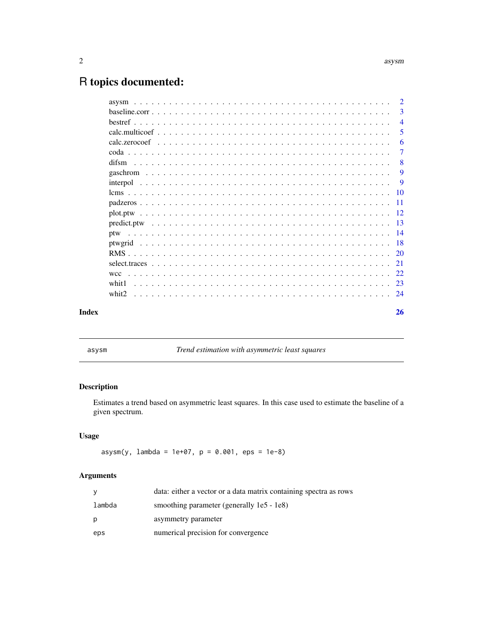## <span id="page-1-0"></span>R topics documented:

| Index             |  |  |  |  |  |  |  |  |  |  |  |  |  |  |  |  | 26             |
|-------------------|--|--|--|--|--|--|--|--|--|--|--|--|--|--|--|--|----------------|
| whit <sub>2</sub> |  |  |  |  |  |  |  |  |  |  |  |  |  |  |  |  |                |
| whit1             |  |  |  |  |  |  |  |  |  |  |  |  |  |  |  |  |                |
| wcc               |  |  |  |  |  |  |  |  |  |  |  |  |  |  |  |  |                |
|                   |  |  |  |  |  |  |  |  |  |  |  |  |  |  |  |  |                |
|                   |  |  |  |  |  |  |  |  |  |  |  |  |  |  |  |  |                |
|                   |  |  |  |  |  |  |  |  |  |  |  |  |  |  |  |  |                |
| ptw               |  |  |  |  |  |  |  |  |  |  |  |  |  |  |  |  |                |
|                   |  |  |  |  |  |  |  |  |  |  |  |  |  |  |  |  |                |
|                   |  |  |  |  |  |  |  |  |  |  |  |  |  |  |  |  |                |
|                   |  |  |  |  |  |  |  |  |  |  |  |  |  |  |  |  |                |
|                   |  |  |  |  |  |  |  |  |  |  |  |  |  |  |  |  |                |
|                   |  |  |  |  |  |  |  |  |  |  |  |  |  |  |  |  | 9              |
|                   |  |  |  |  |  |  |  |  |  |  |  |  |  |  |  |  | 9              |
|                   |  |  |  |  |  |  |  |  |  |  |  |  |  |  |  |  | $\mathbf{8}$   |
|                   |  |  |  |  |  |  |  |  |  |  |  |  |  |  |  |  | 7              |
|                   |  |  |  |  |  |  |  |  |  |  |  |  |  |  |  |  | 6              |
|                   |  |  |  |  |  |  |  |  |  |  |  |  |  |  |  |  | 5              |
|                   |  |  |  |  |  |  |  |  |  |  |  |  |  |  |  |  | $\overline{4}$ |
|                   |  |  |  |  |  |  |  |  |  |  |  |  |  |  |  |  | $\overline{3}$ |
|                   |  |  |  |  |  |  |  |  |  |  |  |  |  |  |  |  | $\overline{2}$ |

asysm *Trend estimation with asymmetric least squares*

## Description

Estimates a trend based on asymmetric least squares. In this case used to estimate the baseline of a given spectrum.

## Usage

 $\text{asysm}(y, \text{ lambda} = 1e+07, p = 0.001, eps = 1e-8)$ 

| y      | data: either a vector or a data matrix containing spectra as rows |
|--------|-------------------------------------------------------------------|
| lambda | smoothing parameter (generally 1e5 - 1e8)                         |
| p      | asymmetry parameter                                               |
| eps    | numerical precision for convergence                               |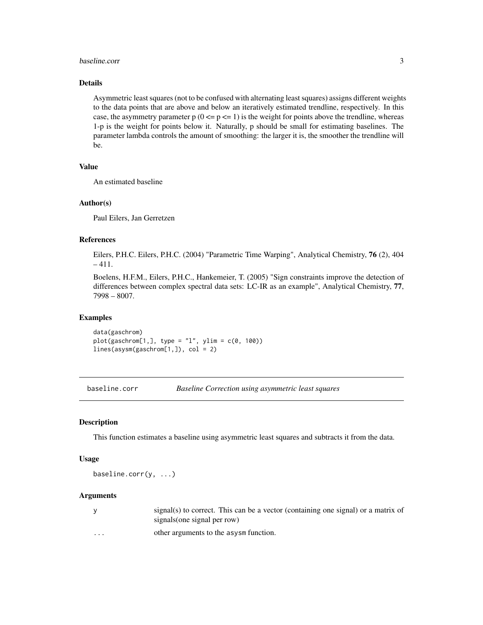#### <span id="page-2-0"></span>baseline.corr 3

## Details

Asymmetric least squares (not to be confused with alternating least squares) assigns different weights to the data points that are above and below an iteratively estimated trendline, respectively. In this case, the asymmetry parameter  $p(0 \le p \le 1)$  is the weight for points above the trendline, whereas 1-p is the weight for points below it. Naturally, p should be small for estimating baselines. The parameter lambda controls the amount of smoothing: the larger it is, the smoother the trendline will be.

#### Value

An estimated baseline

#### Author(s)

Paul Eilers, Jan Gerretzen

## References

Eilers, P.H.C. Eilers, P.H.C. (2004) "Parametric Time Warping", Analytical Chemistry, 76 (2), 404  $-411.$ 

Boelens, H.F.M., Eilers, P.H.C., Hankemeier, T. (2005) "Sign constraints improve the detection of differences between complex spectral data sets: LC-IR as an example", Analytical Chemistry, 77, 7998 – 8007.

## Examples

data(gaschrom)  $plot(gaschrom[1,], type = "1", ylim = c(0, 100))$ lines(asysm(gaschrom[1,]), col = 2)

baseline.corr *Baseline Correction using asymmetric least squares*

#### Description

This function estimates a baseline using asymmetric least squares and subtracts it from the data.

#### Usage

baseline.corr(y, ...)

|                         | $signal(s)$ to correct. This can be a vector (containing one signal) or a matrix of<br>signals (one signal per row) |
|-------------------------|---------------------------------------------------------------------------------------------------------------------|
| $\cdot$ $\cdot$ $\cdot$ | other arguments to the asysm function.                                                                              |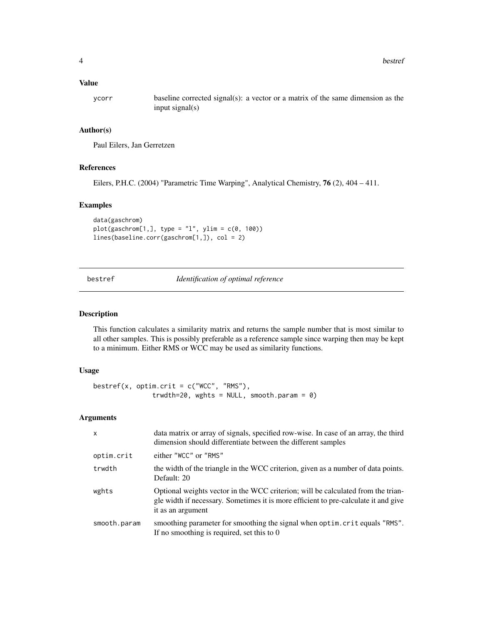## <span id="page-3-0"></span>Value

ycorr baseline corrected signal(s): a vector or a matrix of the same dimension as the input signal(s)

## Author(s)

Paul Eilers, Jan Gerretzen

#### References

Eilers, P.H.C. (2004) "Parametric Time Warping", Analytical Chemistry, 76 (2), 404 – 411.

## Examples

```
data(gaschrom)
plot(gaschrom[1,], type = "1", ylim = c(0, 100))lines(baseline.corr(gaschrom[1,]), col = 2)
```
bestref *Identification of optimal reference*

## Description

This function calculates a similarity matrix and returns the sample number that is most similar to all other samples. This is possibly preferable as a reference sample since warping then may be kept to a minimum. Either RMS or WCC may be used as similarity functions.

#### Usage

```
bestref(x, optim.crit = c("WCC", "RMS"),
               trwdth=20, wghts = NULL, smooth.param = 0)
```

| $\mathsf{x}$ | data matrix or array of signals, specified row-wise. In case of an array, the third<br>dimension should differentiate between the different samples                                          |
|--------------|----------------------------------------------------------------------------------------------------------------------------------------------------------------------------------------------|
| optim.crit   | either "WCC" or "RMS"                                                                                                                                                                        |
| trwdth       | the width of the triangle in the WCC criterion, given as a number of data points.<br>Default: 20                                                                                             |
| wghts        | Optional weights vector in the WCC criterion; will be calculated from the trian-<br>gle width if necessary. Sometimes it is more efficient to pre-calculate it and give<br>it as an argument |
| smooth.param | smoothing parameter for smoothing the signal when optim. crit equals "RMS".<br>If no smoothing is required, set this to $0$                                                                  |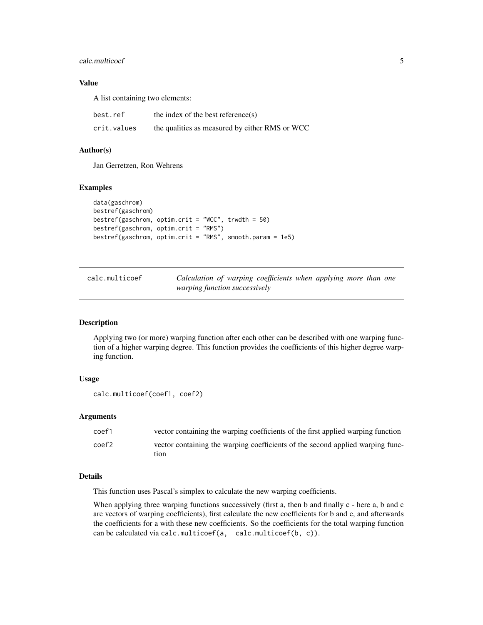## <span id="page-4-0"></span>calc.multicoef 5

## Value

A list containing two elements:

| best.ref    | the index of the best reference $(s)$          |
|-------------|------------------------------------------------|
| crit.values | the qualities as measured by either RMS or WCC |

#### Author(s)

Jan Gerretzen, Ron Wehrens

#### Examples

```
data(gaschrom)
bestref(gaschrom)
bestref(gaschrom, optim.crit = "WCC", trwdth = 50)
bestref(gaschrom, optim.crit = "RMS")
bestref(gaschrom, optim.crit = "RMS", smooth.param = 1e5)
```
<span id="page-4-1"></span>calc.multicoef *Calculation of warping coefficients when applying more than one warping function successively*

## Description

Applying two (or more) warping function after each other can be described with one warping function of a higher warping degree. This function provides the coefficients of this higher degree warping function.

## Usage

```
calc.multicoef(coef1, coef2)
```
#### Arguments

| coef1             | vector containing the warping coefficients of the first applied warping function |
|-------------------|----------------------------------------------------------------------------------|
| coef <sub>2</sub> | vector containing the warping coefficients of the second applied warping func-   |
|                   | tion                                                                             |

#### Details

This function uses Pascal's simplex to calculate the new warping coefficients.

When applying three warping functions successively (first a, then b and finally c - here a, b and c are vectors of warping coefficients), first calculate the new coefficients for b and c, and afterwards the coefficients for a with these new coefficients. So the coefficients for the total warping function can be calculated via calc.multicoef(a, calc.multicoef(b, c)).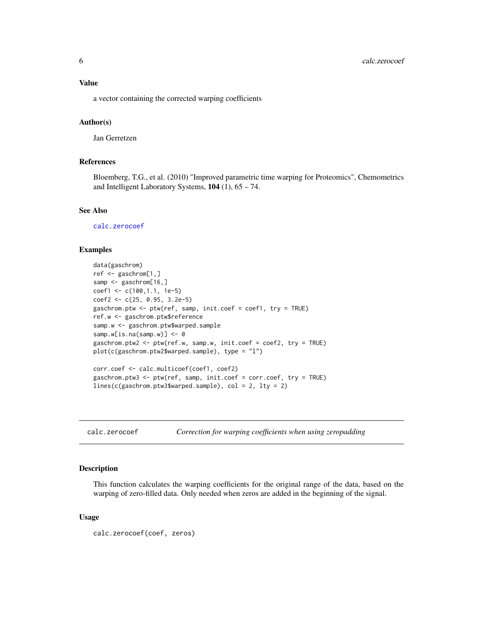## <span id="page-5-0"></span>Value

a vector containing the corrected warping coefficients

#### Author(s)

Jan Gerretzen

## References

Bloemberg, T.G., et al. (2010) "Improved parametric time warping for Proteomics", Chemometrics and Intelligent Laboratory Systems,  $104$  (1),  $65 - 74$ .

#### See Also

[calc.zerocoef](#page-5-1)

#### Examples

```
data(gaschrom)
ref <- gaschrom[1,]
samp <- gaschrom[16,]
coef1 <- c(100,1.1, 1e-5)
coef2 <- c(25, 0.95, 3.2e-5)
gaschrom.ptw <- ptw(ref, samp, init.coef = coef1, try = TRUE)
ref.w <- gaschrom.ptw$reference
samp.w <- gaschrom.ptw$warped.sample
samp.w[is.na(samp.w)] <- 0
gaschrom.ptw2 <- ptw(ref.w, samp.w, init.coef = coef2, try = TRUE)
plot(c(gaschrom.ptw2$warped.sample), type = "l")
corr.coef <- calc.multicoef(coef1, coef2)
gaschrom.ptw3 <- ptw(ref, samp, init.coef = corr.coef, try = TRUE)
lines(c(gaschrom.ptw3$warped.sample), col = 2, lty = 2)
```
<span id="page-5-1"></span>calc.zerocoef *Correction for warping coefficients when using zeropadding*

#### **Description**

This function calculates the warping coefficients for the original range of the data, based on the warping of zero-filled data. Only needed when zeros are added in the beginning of the signal.

#### Usage

```
calc.zerocoef(coef, zeros)
```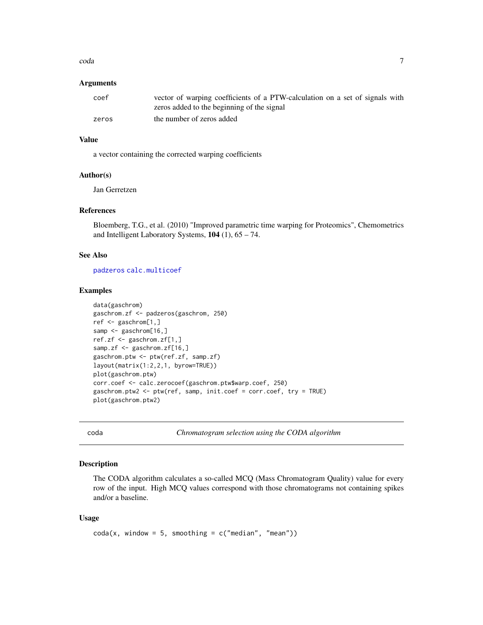#### <span id="page-6-0"></span>coda **7** and 7 and 7 and 7 and 7 and 7 and 7 and 7 and 7 and 7 and 7 and 7 and 7 and 7 and 7 and 7 and 7 and 7 and 7 and 7 and 7 and 7 and 7 and 7 and 7 and 7 and 7 and 7 and 7 and 7 and 7 and 7 and 7 and 7 and 7 and 7 and

## **Arguments**

| coef  | vector of warping coefficients of a PTW-calculation on a set of signals with |
|-------|------------------------------------------------------------------------------|
|       | zeros added to the beginning of the signal                                   |
| zeros | the number of zeros added                                                    |

## Value

a vector containing the corrected warping coefficients

#### Author(s)

Jan Gerretzen

#### References

Bloemberg, T.G., et al. (2010) "Improved parametric time warping for Proteomics", Chemometrics and Intelligent Laboratory Systems, 104 (1), 65 – 74.

## See Also

[padzeros](#page-10-1) [calc.multicoef](#page-4-1)

## Examples

```
data(gaschrom)
gaschrom.zf <- padzeros(gaschrom, 250)
ref <- gaschrom[1,]
samp <- gaschrom[16,]
ref.zf <- gaschrom.zf[1,]
samp.zf <- gaschrom.zf[16,]
gaschrom.ptw <- ptw(ref.zf, samp.zf)
layout(matrix(1:2,2,1, byrow=TRUE))
plot(gaschrom.ptw)
corr.coef <- calc.zerocoef(gaschrom.ptw$warp.coef, 250)
gaschrom.ptw2 <- ptw(ref, samp, init.coef = corr.coef, try = TRUE)
plot(gaschrom.ptw2)
```
<span id="page-6-1"></span>

coda *Chromatogram selection using the CODA algorithm*

## Description

The CODA algorithm calculates a so-called MCQ (Mass Chromatogram Quality) value for every row of the input. High MCQ values correspond with those chromatograms not containing spikes and/or a baseline.

#### Usage

```
\text{coda}(x, \text{ window} = 5, \text{ smoothing} = c("median", "mean"))
```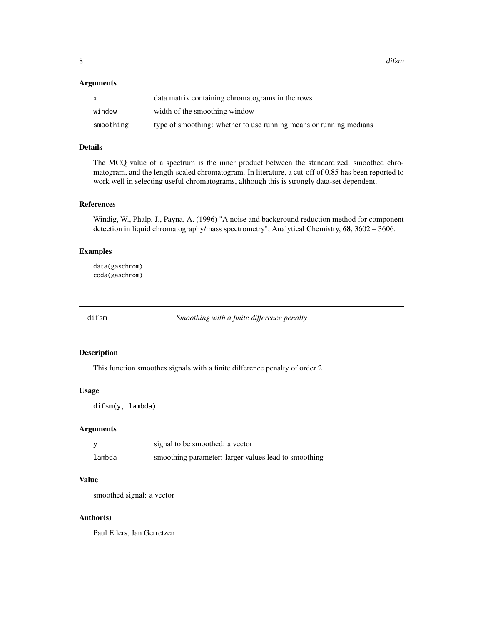<span id="page-7-0"></span>8 diffsm and the state of the state of the state of the state of the state of the state of the state of the state of the state of the state of the state of the state of the state of the state of the state of the state of t

#### Arguments

| X         | data matrix containing chromatograms in the rows                   |
|-----------|--------------------------------------------------------------------|
| window    | width of the smoothing window                                      |
| smoothing | type of smoothing: whether to use running means or running medians |

## Details

The MCQ value of a spectrum is the inner product between the standardized, smoothed chromatogram, and the length-scaled chromatogram. In literature, a cut-off of 0.85 has been reported to work well in selecting useful chromatograms, although this is strongly data-set dependent.

#### References

Windig, W., Phalp, J., Payna, A. (1996) "A noise and background reduction method for component detection in liquid chromatography/mass spectrometry", Analytical Chemistry, 68, 3602 – 3606.

## Examples

data(gaschrom) coda(gaschrom)

difsm *Smoothing with a finite difference penalty*

## Description

This function smoothes signals with a finite difference penalty of order 2.

## Usage

difsm(y, lambda)

## Arguments

|        | signal to be smoothed: a vector                      |
|--------|------------------------------------------------------|
| lambda | smoothing parameter: larger values lead to smoothing |

## Value

smoothed signal: a vector

## Author(s)

Paul Eilers, Jan Gerretzen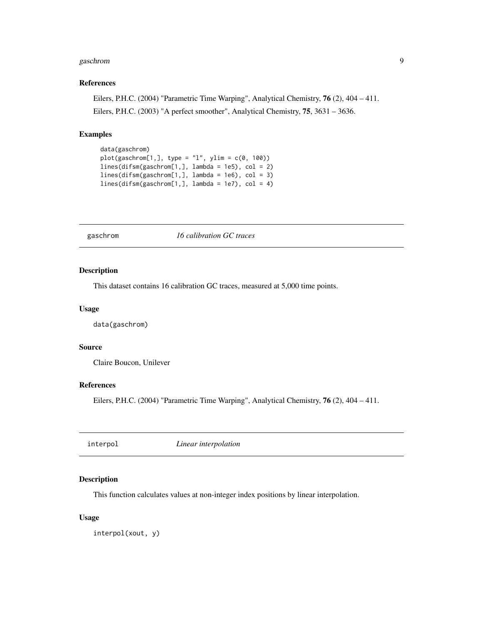#### <span id="page-8-0"></span>gaschrom 90 between 1992 and 1993 and 1993 and 1993 and 1993 and 1993 and 1993 and 1993 and 1993 and 1993 and 1

#### References

Eilers, P.H.C. (2004) "Parametric Time Warping", Analytical Chemistry, 76 (2), 404 – 411. Eilers, P.H.C. (2003) "A perfect smoother", Analytical Chemistry, 75, 3631 – 3636.

## Examples

```
data(gaschrom)
plot(gaschrom[1,], type = "l", ylim = c(0, 100))lines(difsm(gaschrom[1,], lambda = 1e5), col = 2)
lines(difsm(gaschrom[1,], lambda = 1e6), col = 3)
lines(difsm(gaschrom[1,], lambda = 1e7), col = 4)
```
gaschrom *16 calibration GC traces*

#### Description

This dataset contains 16 calibration GC traces, measured at 5,000 time points.

## Usage

data(gaschrom)

## Source

Claire Boucon, Unilever

#### References

Eilers, P.H.C. (2004) "Parametric Time Warping", Analytical Chemistry, 76 (2), 404 – 411.

interpol *Linear interpolation*

#### Description

This function calculates values at non-integer index positions by linear interpolation.

## Usage

interpol(xout, y)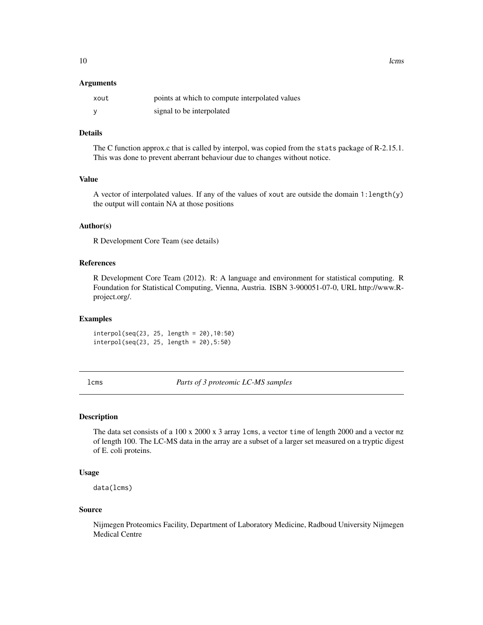#### <span id="page-9-0"></span>Arguments

| xout | points at which to compute interpolated values |
|------|------------------------------------------------|
|      | signal to be interpolated                      |

## Details

The C function approx.c that is called by interpol, was copied from the stats package of R-2.15.1. This was done to prevent aberrant behaviour due to changes without notice.

#### Value

A vector of interpolated values. If any of the values of xout are outside the domain 1:length(y) the output will contain NA at those positions

## Author(s)

R Development Core Team (see details)

#### References

R Development Core Team (2012). R: A language and environment for statistical computing. R Foundation for Statistical Computing, Vienna, Austria. ISBN 3-900051-07-0, URL http://www.Rproject.org/.

#### Examples

interpol(seq(23, 25, length = 20),10:50) interpol(seq(23, 25, length = 20),5:50)

lcms *Parts of 3 proteomic LC-MS samples*

#### Description

The data set consists of a 100 x 2000 x 3 array lcms, a vector time of length 2000 and a vector mz of length 100. The LC-MS data in the array are a subset of a larger set measured on a tryptic digest of E. coli proteins.

## Usage

data(lcms)

#### Source

Nijmegen Proteomics Facility, Department of Laboratory Medicine, Radboud University Nijmegen Medical Centre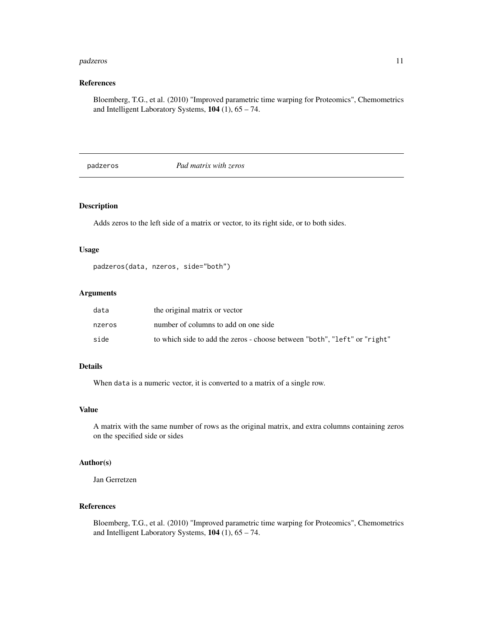#### <span id="page-10-0"></span>padzeros 11

## References

Bloemberg, T.G., et al. (2010) "Improved parametric time warping for Proteomics", Chemometrics and Intelligent Laboratory Systems, 104 (1), 65 – 74.

<span id="page-10-1"></span>padzeros *Pad matrix with zeros*

### Description

Adds zeros to the left side of a matrix or vector, to its right side, or to both sides.

#### Usage

```
padzeros(data, nzeros, side="both")
```
#### Arguments

| data   | the original matrix or vector                                             |
|--------|---------------------------------------------------------------------------|
| nzeros | number of columns to add on one side                                      |
| side   | to which side to add the zeros - choose between "both", "left" or "right" |

## Details

When data is a numeric vector, it is converted to a matrix of a single row.

#### Value

A matrix with the same number of rows as the original matrix, and extra columns containing zeros on the specified side or sides

#### Author(s)

Jan Gerretzen

## References

Bloemberg, T.G., et al. (2010) "Improved parametric time warping for Proteomics", Chemometrics and Intelligent Laboratory Systems, 104 (1), 65 – 74.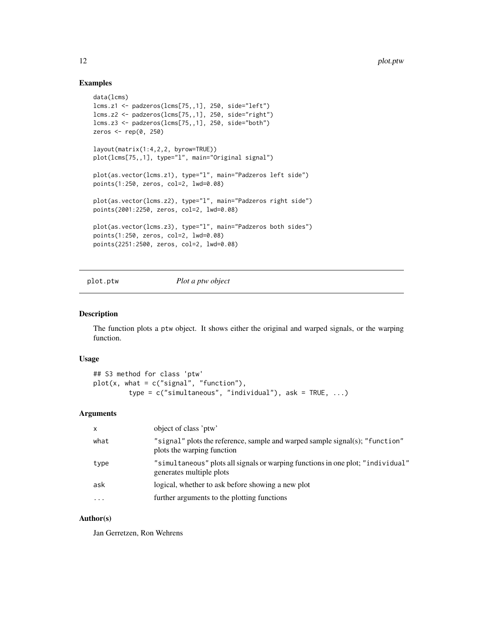#### Examples

```
data(lcms)
lcms.z1 <- padzeros(lcms[75,,1], 250, side="left")
lcms.z2 <- padzeros(lcms[75,,1], 250, side="right")
lcms.z3 <- padzeros(lcms[75,,1], 250, side="both")
zeros <- rep(0, 250)
layout(matrix(1:4,2,2, byrow=TRUE))
plot(lcms[75,,1], type="l", main="Original signal")
plot(as.vector(lcms.z1), type="l", main="Padzeros left side")
points(1:250, zeros, col=2, lwd=0.08)
plot(as.vector(lcms.z2), type="l", main="Padzeros right side")
points(2001:2250, zeros, col=2, lwd=0.08)
plot(as.vector(lcms.z3), type="l", main="Padzeros both sides")
points(1:250, zeros, col=2, lwd=0.08)
points(2251:2500, zeros, col=2, lwd=0.08)
```
#### plot.ptw *Plot a ptw object*

#### Description

The function plots a ptw object. It shows either the original and warped signals, or the warping function.

#### Usage

```
## S3 method for class 'ptw'
plot(x, what = c("signal", "function"),type = c("simultaneous", "individual"), ask = TRUE, ...)
```
#### Arguments

| x        | object of class 'ptw'                                                                                       |
|----------|-------------------------------------------------------------------------------------------------------------|
| what     | "signal" plots the reference, sample and warped sample signal(s); "function"<br>plots the warping function  |
| type     | "simultaneous" plots all signals or warping functions in one plot; "individual"<br>generates multiple plots |
| ask      | logical, whether to ask before showing a new plot                                                           |
| $\cdots$ | further arguments to the plotting functions                                                                 |
|          |                                                                                                             |

#### Author(s)

Jan Gerretzen, Ron Wehrens

<span id="page-11-0"></span>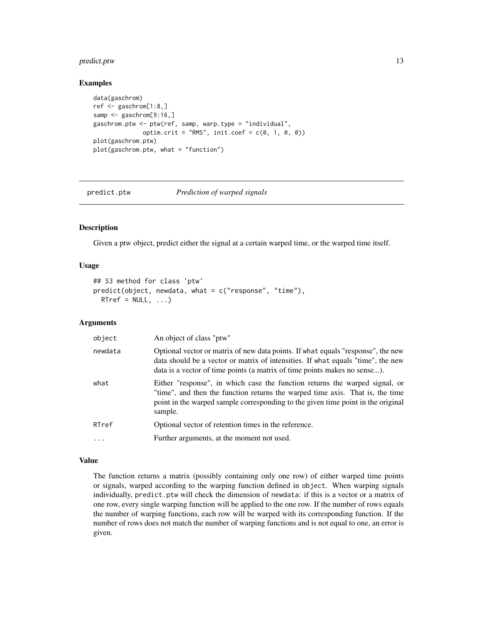## <span id="page-12-0"></span>predict.ptw 13

#### Examples

```
data(gaschrom)
ref <- gaschrom[1:8,]
samp <- gaschrom[9:16,]
gaschrom.ptw <- ptw(ref, samp, warp.type = "individual",
               optim.crit = "RMS", init.coef = c(\theta, 1, \theta, \theta))
plot(gaschrom.ptw)
plot(gaschrom.ptw, what = "function")
```
predict.ptw *Prediction of warped signals*

## Description

Given a ptw object, predict either the signal at a certain warped time, or the warped time itself.

#### Usage

```
## S3 method for class 'ptw'
predict(object, newdata, what = c("response", "time"),
 RTref = NULL, ...
```
#### Arguments

| object  | An object of class "ptw"                                                                                                                                                                                                                                    |
|---------|-------------------------------------------------------------------------------------------------------------------------------------------------------------------------------------------------------------------------------------------------------------|
| newdata | Optional vector or matrix of new data points. If what equals "response", the new<br>data should be a vector or matrix of intensities. If what equals "time", the new<br>data is a vector of time points (a matrix of time points makes no sense).           |
| what    | Either "response", in which case the function returns the warped signal, or<br>"time", and then the function returns the warped time axis. That is, the time<br>point in the warped sample corresponding to the given time point in the original<br>sample. |
| RTref   | Optional vector of retention times in the reference.                                                                                                                                                                                                        |
| .       | Further arguments, at the moment not used.                                                                                                                                                                                                                  |

## Value

The function returns a matrix (possibly containing only one row) of either warped time points or signals, warped according to the warping function defined in object. When warping signals individually, predict.ptw will check the dimension of newdata: if this is a vector or a matrix of one row, every single warping function will be applied to the one row. If the number of rows equals the number of warping functions, each row will be warped with its corresponding function. If the number of rows does not match the number of warping functions and is not equal to one, an error is given.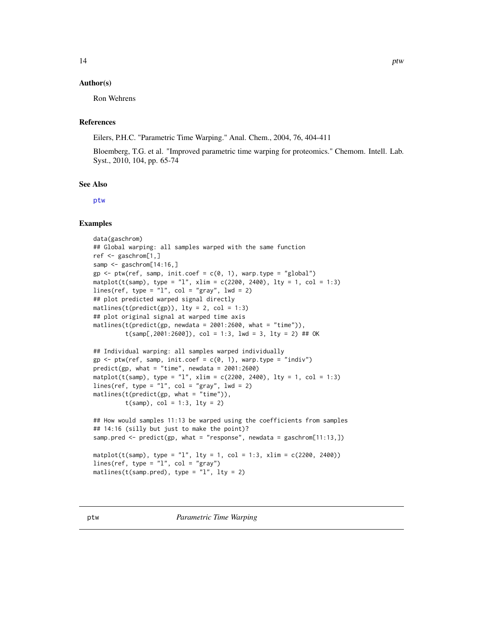## <span id="page-13-0"></span>Author(s)

Ron Wehrens

## References

Eilers, P.H.C. "Parametric Time Warping." Anal. Chem., 2004, 76, 404-411

Bloemberg, T.G. et al. "Improved parametric time warping for proteomics." Chemom. Intell. Lab. Syst., 2010, 104, pp. 65-74

#### See Also

[ptw](#page-13-1)

## Examples

```
data(gaschrom)
## Global warping: all samples warped with the same function
ref <- gaschrom[1,]
samp <- gaschrom[14:16,]
gp \leftarrow \text{ptw}(\text{ref, samp, init.coef = c(0, 1), warp.type = "global")}matplot(t(samp), type = "l", xlim = c(2200, 2400), lty = 1, col = 1:3)
lines(ref, type = "l", col = "gray", lud = 2)## plot predicted warped signal directly
matlines(t(predict(gp)), lty = 2, col = 1:3)
## plot original signal at warped time axis
mathinatlines(t(predict(gp, newdata = 2001:2600, what = "time")),
         t(samp[, 2001:2600]), col = 1:3, 1wd = 3, 1ty = 2) ## OK
## Individual warping: all samples warped individually
gp \leq ptw(ref, samp, init.coef = c(0, 1), warp.type = "indiv")predict(gp, what = "time", newdata = 2001:2600)matplot(t(samp), type = "l", xlim = c(2200, 2400), lty = 1, col = 1:3)
lines(ref, type = "l", col = "gray", lwd = 2)
matht(samp), col = 1:3, lty = 2)
## How would samples 11:13 be warped using the coefficients from samples
## 14:16 (silly but just to make the point)?
samp.pred <- predict(gp, what = "response", newdata = gaschrom[11:13,])
matplot(t(samp), type = "l", lty = 1, col = 1:3, xlim = c(2200, 2400))
lines(ref, type = "l", col = "gray")matlines(t(samp.pred), type = "l", lty = 2)
```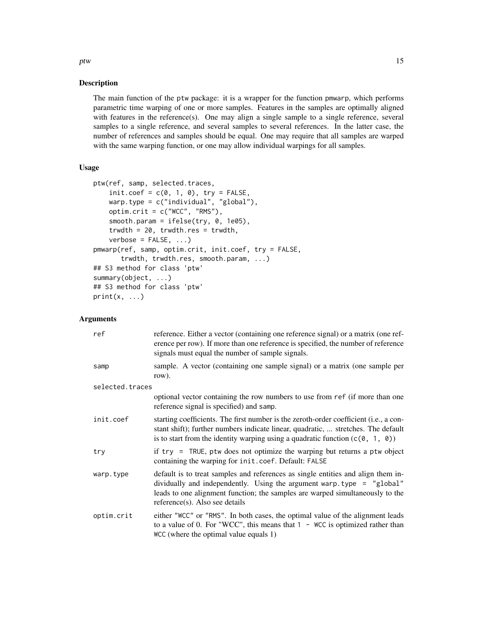#### Description

The main function of the ptw package: it is a wrapper for the function pmwarp, which performs parametric time warping of one or more samples. Features in the samples are optimally aligned with features in the reference(s). One may align a single sample to a single reference, several samples to a single reference, and several samples to several references. In the latter case, the number of references and samples should be equal. One may require that all samples are warped with the same warping function, or one may allow individual warpings for all samples.

### Usage

```
ptw(ref, samp, selected.traces,
    init.coef = c(0, 1, 0), try = FALSE,warp.type = c("individual", "global"),
    optim.crit = c("WCC", "RMS"),
    smooth.param = ifelse(try, 0, 1e05),
    trwdth = 20, trwdth.res = trwdth,
    verbose = FALSE, ...pmwarp(ref, samp, optim.crit, init.coef, try = FALSE,
       trwdth, trwdth.res, smooth.param, ...)
## S3 method for class 'ptw'
summary(object, ...)
## S3 method for class 'ptw'
print(x, \ldots)
```
### Arguments

| ref             | reference. Either a vector (containing one reference signal) or a matrix (one ref-<br>erence per row). If more than one reference is specified, the number of reference<br>signals must equal the number of sample signals.                                                    |
|-----------------|--------------------------------------------------------------------------------------------------------------------------------------------------------------------------------------------------------------------------------------------------------------------------------|
| samp            | sample. A vector (containing one sample signal) or a matrix (one sample per<br>row).                                                                                                                                                                                           |
| selected.traces |                                                                                                                                                                                                                                                                                |
|                 | optional vector containing the row numbers to use from ref (if more than one<br>reference signal is specified) and samp.                                                                                                                                                       |
| init.coef       | starting coefficients. The first number is the zeroth-order coefficient (i.e., a con-<br>stant shift); further numbers indicate linear, quadratic,  stretches. The default<br>is to start from the identity warping using a quadratic function $(c(0, 1, 0))$                  |
| try             | if $try = TRUE$ , ptw does not optimize the warping but returns a ptw object<br>containing the warping for init.coef. Default: FALSE                                                                                                                                           |
| warp.type       | default is to treat samples and references as single entities and align them in-<br>dividually and independently. Using the argument warp.type = $"global"$<br>leads to one alignment function; the samples are warped simultaneously to the<br>reference(s). Also see details |
| optim.crit      | either "WCC" or "RMS". In both cases, the optimal value of the alignment leads<br>to a value of 0. For "WCC", this means that $1 - WCC$ is optimized rather than<br>WCC (where the optimal value equals 1)                                                                     |

ptw and the contract of the contract of the contract of the contract of the contract of the contract of the contract of the contract of the contract of the contract of the contract of the contract of the contract of the co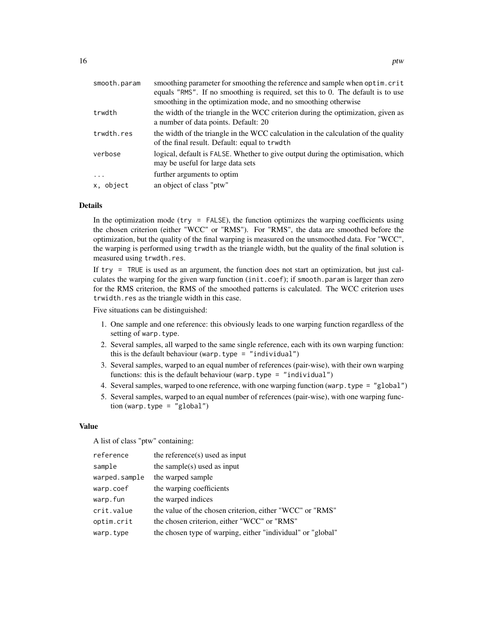| smooth.param | smoothing parameter for smoothing the reference and sample when optim.crit<br>equals "RMS". If no smoothing is required, set this to 0. The default is to use |
|--------------|---------------------------------------------------------------------------------------------------------------------------------------------------------------|
|              | smoothing in the optimization mode, and no smoothing otherwise                                                                                                |
| trwdth       | the width of the triangle in the WCC criterion during the optimization, given as<br>a number of data points. Default: 20                                      |
| trwdth.res   | the width of the triangle in the WCC calculation in the calculation of the quality<br>of the final result. Default: equal to trwdth                           |
| verbose      | logical, default is FALSE. Whether to give output during the optimisation, which<br>may be useful for large data sets                                         |
| $\cdots$     | further arguments to optim                                                                                                                                    |
| x, object    | an object of class "ptw"                                                                                                                                      |
|              |                                                                                                                                                               |

#### Details

In the optimization mode ( $try = FALSE$ ), the function optimizes the warping coefficients using the chosen criterion (either "WCC" or "RMS"). For "RMS", the data are smoothed before the optimization, but the quality of the final warping is measured on the unsmoothed data. For "WCC", the warping is performed using trwdth as the triangle width, but the quality of the final solution is measured using trwdth.res.

If try = TRUE is used as an argument, the function does not start an optimization, but just calculates the warping for the given warp function (init.coef); if smooth.param is larger than zero for the RMS criterion, the RMS of the smoothed patterns is calculated. The WCC criterion uses trwidth.res as the triangle width in this case.

Five situations can be distinguished:

- 1. One sample and one reference: this obviously leads to one warping function regardless of the setting of warp.type.
- 2. Several samples, all warped to the same single reference, each with its own warping function: this is the default behaviour (warp.type = "individual")
- 3. Several samples, warped to an equal number of references (pair-wise), with their own warping functions: this is the default behaviour (warp.type = "individual")
- 4. Several samples, warped to one reference, with one warping function (warp.type = "global")
- 5. Several samples, warped to an equal number of references (pair-wise), with one warping function (warp.type = "global")

#### Value

A list of class "ptw" containing:

| reference     | the reference $(s)$ used as input                           |
|---------------|-------------------------------------------------------------|
| sample        | the sample(s) used as input                                 |
| warped.sample | the warped sample                                           |
| warp.coef     | the warping coefficients                                    |
| warp.fun      | the warped indices                                          |
| crit.value    | the value of the chosen criterion, either "WCC" or "RMS"    |
| optim.crit    | the chosen criterion, either "WCC" or "RMS"                 |
| warp.type     | the chosen type of warping, either "individual" or "global" |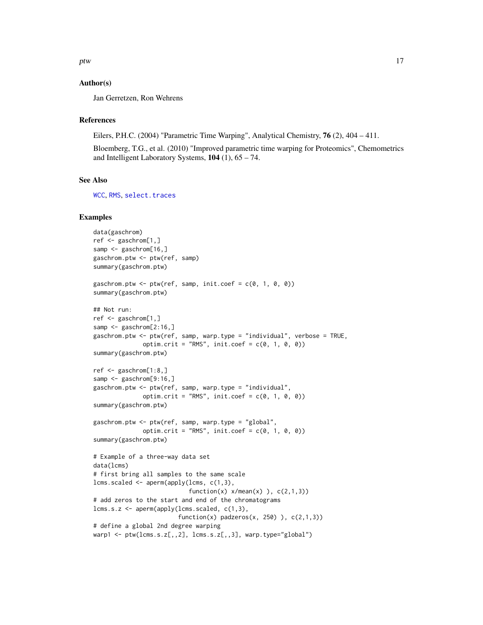<span id="page-16-0"></span>ptw and the contract of the contract of the contract of the contract of the contract of the contract of the contract of the contract of the contract of the contract of the contract of the contract of the contract of the co

## Author(s)

Jan Gerretzen, Ron Wehrens

## References

Eilers, P.H.C. (2004) "Parametric Time Warping", Analytical Chemistry, 76 (2), 404 – 411.

Bloemberg, T.G., et al. (2010) "Improved parametric time warping for Proteomics", Chemometrics and Intelligent Laboratory Systems,  $104$  (1),  $65 - 74$ .

#### See Also

[WCC](#page-19-1), [RMS](#page-19-2), [select.traces](#page-20-1)

#### Examples

```
data(gaschrom)
ref <- gaschrom[1,]
samp <- gaschrom[16,]
gaschrom.ptw <- ptw(ref, samp)
summary(gaschrom.ptw)
gaschrom.ptw <- ptw(ref, samp, init.coef = c(0, 1, 0, 0))
summary(gaschrom.ptw)
## Not run:
ref <- gaschrom[1,]
samp \leq gaschrom[2:16,]
gaschrom.ptw <- ptw(ref, samp, warp.type = "individual", verbose = TRUE,
              optim.crit = "RMS", init.coef = c(\emptyset, 1, \emptyset, \emptyset))
summary(gaschrom.ptw)
ref <- gaschrom[1:8,]
samp <- gaschrom[9:16,]
gaschrom.ptw <- ptw(ref, samp, warp.type = "individual",
              optim.crit = "RMS", init.coef = c(\theta, 1, \theta, \theta))
summary(gaschrom.ptw)
gaschrom.ptw <- ptw(ref, samp, warp.type = "global",
              optim.crit = "RMS", init.coef = c(0, 1, 0, 0))
summary(gaschrom.ptw)
# Example of a three-way data set
data(lcms)
# first bring all samples to the same scale
lcms.scaled <- aperm(apply(lcms, c(1,3),
                            function(x) x/mean(x) ), c(2,1,3)# add zeros to the start and end of the chromatograms
lcms.s.z <- aperm(apply(lcms.scaled, c(1,3),
                         function(x) padzeros(x, 250) ), c(2,1,3))
# define a global 2nd degree warping
warp1 <- ptw(lcms.s.z[,,2], lens.s.z[,,3], warp.type="global")
```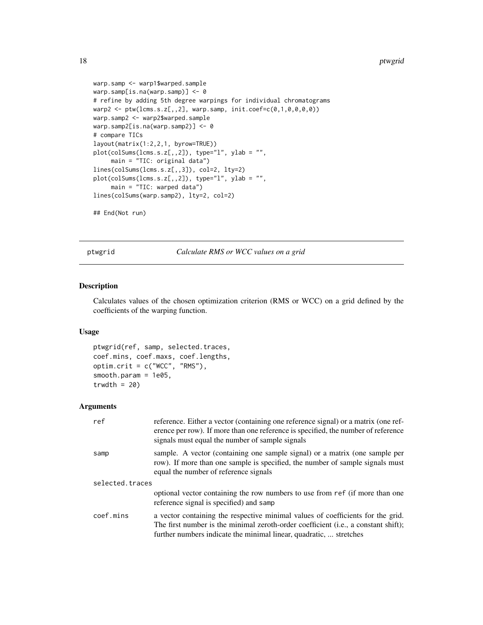#### <span id="page-17-0"></span>18 ptwgrid in the set of the set of the set of the set of the set of the set of the set of the set of the set of the set of the set of the set of the set of the set of the set of the set of the set of the set of the set of

```
warp.samp <- warp1$warped.sample
warp.samp[is.na(warp.samp)] <- 0
# refine by adding 5th degree warpings for individual chromatograms
warp2 < -ptw(lcms.s.z[,, 2], warp.sum, init.coef=c(0,1,0,0,0,0))warp.samp2 <- warp2$warped.sample
warp.samp2[is.na(warp.samp2)] <- 0
# compare TICs
layout(matrix(1:2,2,1, byrow=TRUE))
plot(colSums(lcms.s.z[,,2]), type="l", ylab = "",
     main = "TIC: original data")
lines(colSums(lcms.s.z[,,3]), col=2, lty=2)
plot(colSums(lcms.s.z[,,2]), type="l", ylab = "",
     main = "TIC: warped data")
lines(colSums(warp.samp2), lty=2, col=2)
## End(Not run)
```
ptwgrid *Calculate RMS or WCC values on a grid*

## Description

Calculates values of the chosen optimization criterion (RMS or WCC) on a grid defined by the coefficients of the warping function.

#### Usage

```
ptwgrid(ref, samp, selected.traces,
coef.mins, coef.maxs, coef.lengths,
optim.crit = c("WCC", "RMS"),
smooth.param = 1e05,
trwdth = 20
```

| ref             | reference. Either a vector (containing one reference signal) or a matrix (one ref-<br>erence per row). If more than one reference is specified, the number of reference<br>signals must equal the number of sample signals                  |  |
|-----------------|---------------------------------------------------------------------------------------------------------------------------------------------------------------------------------------------------------------------------------------------|--|
| samp            | sample. A vector (containing one sample signal) or a matrix (one sample per<br>row). If more than one sample is specified, the number of sample signals must<br>equal the number of reference signals                                       |  |
| selected.traces |                                                                                                                                                                                                                                             |  |
|                 | optional vector containing the row numbers to use from ref (if more than one<br>reference signal is specified) and samp                                                                                                                     |  |
| coef.mins       | a vector containing the respective minimal values of coefficients for the grid.<br>The first number is the minimal zeroth-order coefficient (i.e., a constant shift);<br>further numbers indicate the minimal linear, quadratic,  stretches |  |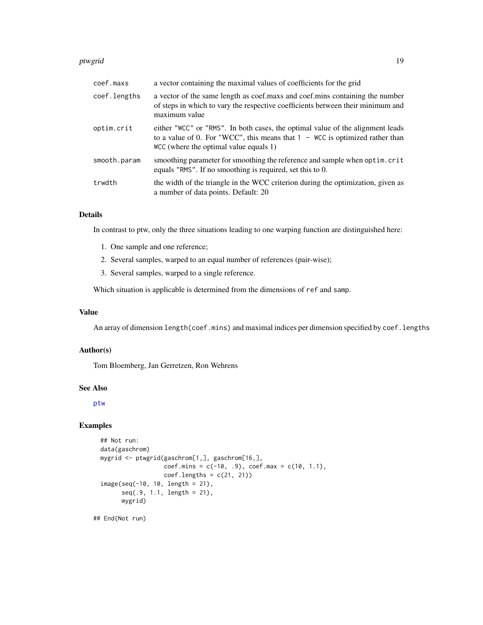#### <span id="page-18-0"></span>ptwgrid the contract of the contract of the contract of the contract of the contract of the contract of the contract of the contract of the contract of the contract of the contract of the contract of the contract of the co

| coef.maxs    | a vector containing the maximal values of coefficients for the grid                                                                                                                                        |
|--------------|------------------------------------------------------------------------------------------------------------------------------------------------------------------------------------------------------------|
| coef.lengths | a vector of the same length as coef.maxs and coef.mins containing the number<br>of steps in which to vary the respective coefficients between their minimum and<br>maximum value                           |
| optim.crit   | either "WCC" or "RMS". In both cases, the optimal value of the alignment leads<br>to a value of 0. For "WCC", this means that $1 -$ WCC is optimized rather than<br>WCC (where the optimal value equals 1) |
| smooth.param | smoothing parameter for smoothing the reference and sample when optim.crit<br>equals "RMS". If no smoothing is required, set this to 0.                                                                    |
| trwdth       | the width of the triangle in the WCC criterion during the optimization, given as<br>a number of data points. Default: 20                                                                                   |

## Details

In contrast to ptw, only the three situations leading to one warping function are distinguished here:

- 1. One sample and one reference;
- 2. Several samples, warped to an equal number of references (pair-wise);
- 3. Several samples, warped to a single reference.

Which situation is applicable is determined from the dimensions of ref and samp.

## Value

An array of dimension length(coef.mins) and maximal indices per dimension specified by coef.lengths

## Author(s)

Tom Bloemberg, Jan Gerretzen, Ron Wehrens

## See Also

[ptw](#page-13-1)

## Examples

```
## Not run:
data(gaschrom)
mygrid <- ptwgrid(gaschrom[1,], gaschrom[16,],
                  coef.mins = c(-10, .9), coef.max = c(10, 1.1),coef.lengths = c(21, 21)image(seq(-10, 10, length = 21),
     seq(.9, 1.1, length = 21),
     mygrid)
```
## End(Not run)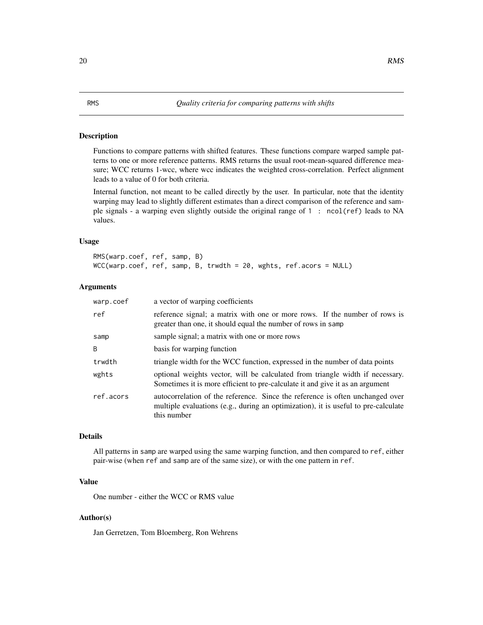#### <span id="page-19-2"></span><span id="page-19-1"></span><span id="page-19-0"></span>Description

Functions to compare patterns with shifted features. These functions compare warped sample patterns to one or more reference patterns. RMS returns the usual root-mean-squared difference measure; WCC returns 1-wcc, where wcc indicates the weighted cross-correlation. Perfect alignment leads to a value of 0 for both criteria.

Internal function, not meant to be called directly by the user. In particular, note that the identity warping may lead to slightly different estimates than a direct comparison of the reference and sample signals - a warping even slightly outside the original range of 1 : ncol(ref) leads to NA values.

## Usage

RMS(warp.coef, ref, samp, B) WCC(warp.coef, ref, samp, B, trwdth = 20, wghts, ref.acors = NULL)

## Arguments

| warp.coef | a vector of warping coefficients                                                                                                                                                   |
|-----------|------------------------------------------------------------------------------------------------------------------------------------------------------------------------------------|
| ref       | reference signal; a matrix with one or more rows. If the number of rows is<br>greater than one, it should equal the number of rows in samp                                         |
| samp      | sample signal; a matrix with one or more rows                                                                                                                                      |
| B         | basis for warping function                                                                                                                                                         |
| trwdth    | triangle width for the WCC function, expressed in the number of data points                                                                                                        |
| wghts     | optional weights vector, will be calculated from triangle width if necessary.<br>Sometimes it is more efficient to pre-calculate it and give it as an argument                     |
| ref.acors | autocorrelation of the reference. Since the reference is often unchanged over<br>multiple evaluations (e.g., during an optimization), it is useful to pre-calculate<br>this number |

## Details

All patterns in samp are warped using the same warping function, and then compared to ref, either pair-wise (when ref and samp are of the same size), or with the one pattern in ref.

## Value

One number - either the WCC or RMS value

#### Author(s)

Jan Gerretzen, Tom Bloemberg, Ron Wehrens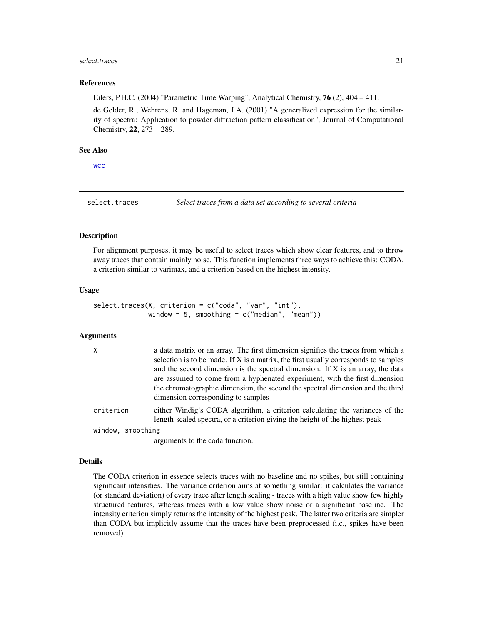#### <span id="page-20-0"></span>select.traces 21

#### References

Eilers, P.H.C. (2004) "Parametric Time Warping", Analytical Chemistry, 76 (2), 404 – 411.

de Gelder, R., Wehrens, R. and Hageman, J.A. (2001) "A generalized expression for the similarity of spectra: Application to powder diffraction pattern classification", Journal of Computational Chemistry, 22, 273 – 289.

#### See Also

[wcc](#page-21-1)

<span id="page-20-1"></span>select.traces *Select traces from a data set according to several criteria*

#### Description

For alignment purposes, it may be useful to select traces which show clear features, and to throw away traces that contain mainly noise. This function implements three ways to achieve this: CODA, a criterion similar to varimax, and a criterion based on the highest intensity.

## Usage

```
select.traces(X, criterion = c("coda", "var", "int"),
             window = 5, smoothing = c("median", "mean"))
```
#### Arguments

| $\mathsf{X}$      | a data matrix or an array. The first dimension signifies the traces from which a                                                                            |
|-------------------|-------------------------------------------------------------------------------------------------------------------------------------------------------------|
|                   | selection is to be made. If X is a matrix, the first usually corresponds to samples                                                                         |
|                   | and the second dimension is the spectral dimension. If X is an array, the data                                                                              |
|                   | are assumed to come from a hyphenated experiment, with the first dimension                                                                                  |
|                   | the chromatographic dimension, the second the spectral dimension and the third<br>dimension corresponding to samples                                        |
|                   |                                                                                                                                                             |
| criterion         | either Windig's CODA algorithm, a criterion calculating the variances of the<br>length-scaled spectra, or a criterion giving the height of the highest peak |
| window, smoothing |                                                                                                                                                             |
|                   |                                                                                                                                                             |

arguments to the coda function.

#### Details

The CODA criterion in essence selects traces with no baseline and no spikes, but still containing significant intensities. The variance criterion aims at something similar: it calculates the variance (or standard deviation) of every trace after length scaling - traces with a high value show few highly structured features, whereas traces with a low value show noise or a significant baseline. The intensity criterion simply returns the intensity of the highest peak. The latter two criteria are simpler than CODA but implicitly assume that the traces have been preprocessed (i.c., spikes have been removed).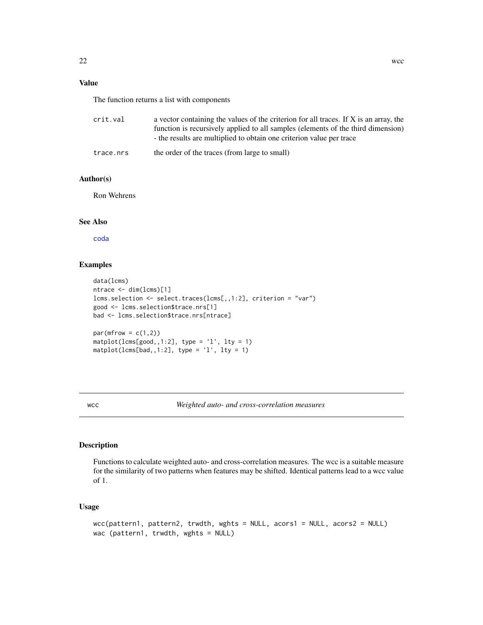<span id="page-21-0"></span>The function returns a list with components

| crit.val  | a vector containing the values of the criterion for all traces. If X is an array, the |
|-----------|---------------------------------------------------------------------------------------|
|           | function is recursively applied to all samples (elements of the third dimension)      |
|           | - the results are multiplied to obtain one criterion value per trace                  |
| trace.nrs | the order of the traces (from large to small)                                         |

#### Author(s)

Ron Wehrens

## See Also

[coda](#page-6-1)

## Examples

```
data(lcms)
ntrace <- dim(lcms)[1]
lcms.selection <- select.traces(lcms[,,1:2], criterion = "var")
good <- lcms.selection$trace.nrs[1]
bad <- lcms.selection$trace.nrs[ntrace]
par(mfrow = c(1,2))\text{matplot}(\text{lcms}[\text{good},1:2], \text{ type} = 'l', \text{ lty} = 1)matplot(lcms[bad,,1:2], type = '1', lty = 1)
```
<span id="page-21-1"></span>wcc *Weighted auto- and cross-correlation measures*

## Description

Functions to calculate weighted auto- and cross-correlation measures. The wcc is a suitable measure for the similarity of two patterns when features may be shifted. Identical patterns lead to a wcc value of 1.

## Usage

```
wcc(pattern1, pattern2, trwdth, wghts = NULL, acors1 = NULL, acors2 = NULL)
wac (pattern1, trwdth, wghts = NULL)
```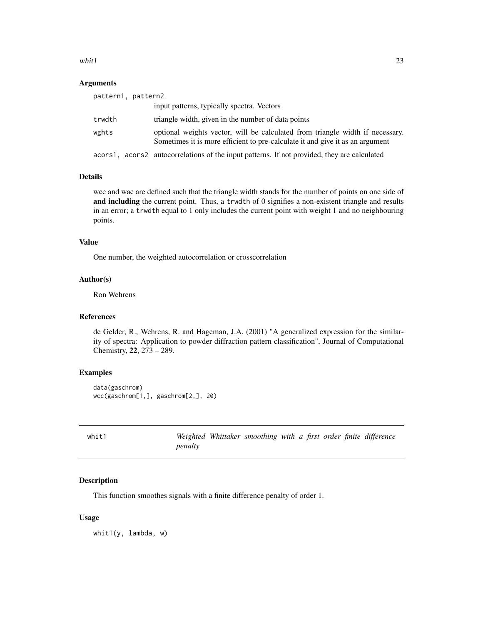#### <span id="page-22-0"></span>whit  $1$  23

## Arguments

| pattern1, pattern2 |                                                                                                                                                                |
|--------------------|----------------------------------------------------------------------------------------------------------------------------------------------------------------|
|                    | input patterns, typically spectra. Vectors                                                                                                                     |
| trwdth             | triangle width, given in the number of data points                                                                                                             |
| wghts              | optional weights vector, will be calculated from triangle width if necessary.<br>Sometimes it is more efficient to pre-calculate it and give it as an argument |
|                    | acors1, acors2 autocorrelations of the input patterns. If not provided, they are calculated                                                                    |

#### Details

wcc and wac are defined such that the triangle width stands for the number of points on one side of and including the current point. Thus, a trwdth of 0 signifies a non-existent triangle and results in an error; a trwdth equal to 1 only includes the current point with weight 1 and no neighbouring points.

## Value

One number, the weighted autocorrelation or crosscorrelation

#### Author(s)

Ron Wehrens

## References

de Gelder, R., Wehrens, R. and Hageman, J.A. (2001) "A generalized expression for the similarity of spectra: Application to powder diffraction pattern classification", Journal of Computational Chemistry, 22, 273 – 289.

## Examples

```
data(gaschrom)
wcc(gaschrom[1,], gaschrom[2,], 20)
```
whit1 *Weighted Whittaker smoothing with a first order finite difference penalty*

#### Description

This function smoothes signals with a finite difference penalty of order 1.

#### Usage

whit1(y, lambda, w)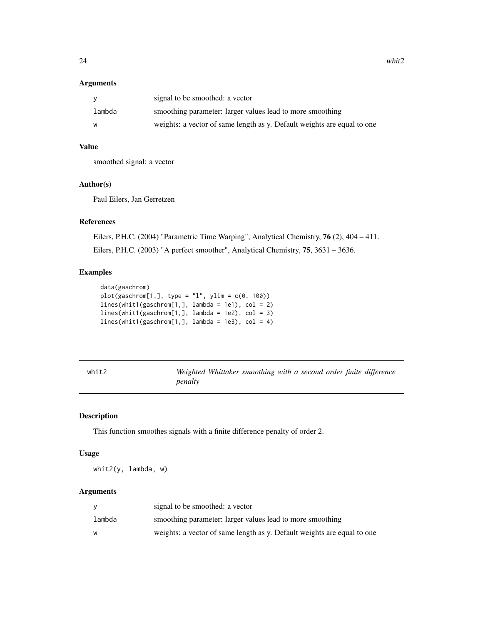#### <span id="page-23-0"></span>Arguments

| <b>V</b> | signal to be smoothed: a vector                                         |
|----------|-------------------------------------------------------------------------|
| lambda   | smoothing parameter: larger values lead to more smoothing               |
| w        | weights: a vector of same length as y. Default weights are equal to one |

## Value

smoothed signal: a vector

#### Author(s)

Paul Eilers, Jan Gerretzen

## References

Eilers, P.H.C. (2004) "Parametric Time Warping", Analytical Chemistry, 76 (2), 404 – 411. Eilers, P.H.C. (2003) "A perfect smoother", Analytical Chemistry, 75, 3631 – 3636.

## Examples

```
data(gaschrom)
plot(gaschrom[1,], type = "l", ylim = c(0, 100))lines(whit1(gaschrom[1,], lambda = 1e1), col = 2)
lines(whit1(gaschrom[1,], lambda = 1e2), col = 3)
lines(whit1(gaschrom[1,], lambda = 1e3), col = 4)
```
whit2 *Weighted Whittaker smoothing with a second order finite difference penalty*

## Description

This function smoothes signals with a finite difference penalty of order 2.

#### Usage

whit2(y, lambda, w)

|        | signal to be smoothed: a vector                                         |
|--------|-------------------------------------------------------------------------|
| lambda | smoothing parameter: larger values lead to more smoothing               |
| W      | weights: a vector of same length as y. Default weights are equal to one |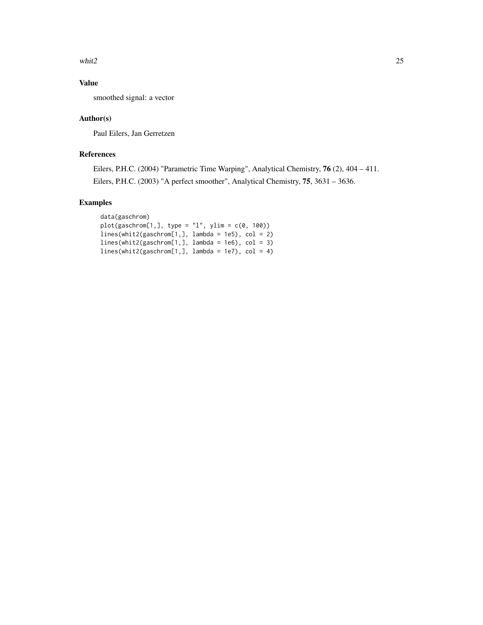whit $2$  25

## Value

smoothed signal: a vector

## Author(s)

Paul Eilers, Jan Gerretzen

## References

Eilers, P.H.C. (2004) "Parametric Time Warping", Analytical Chemistry, 76 (2), 404 – 411. Eilers, P.H.C. (2003) "A perfect smoother", Analytical Chemistry, 75, 3631 – 3636.

## Examples

```
data(gaschrom)
plot(gaschrom[1,], type = "l", ylim = c(0, 100))
lines(whit2(gaschrom[1,], lambda = 1e5), col = 2)
lines(whit2(gaschrom[1,], lambda = 1e6), col = 3)
lines(whit2(gaschrom[1,], lambda = 1e7), col = 4)
```